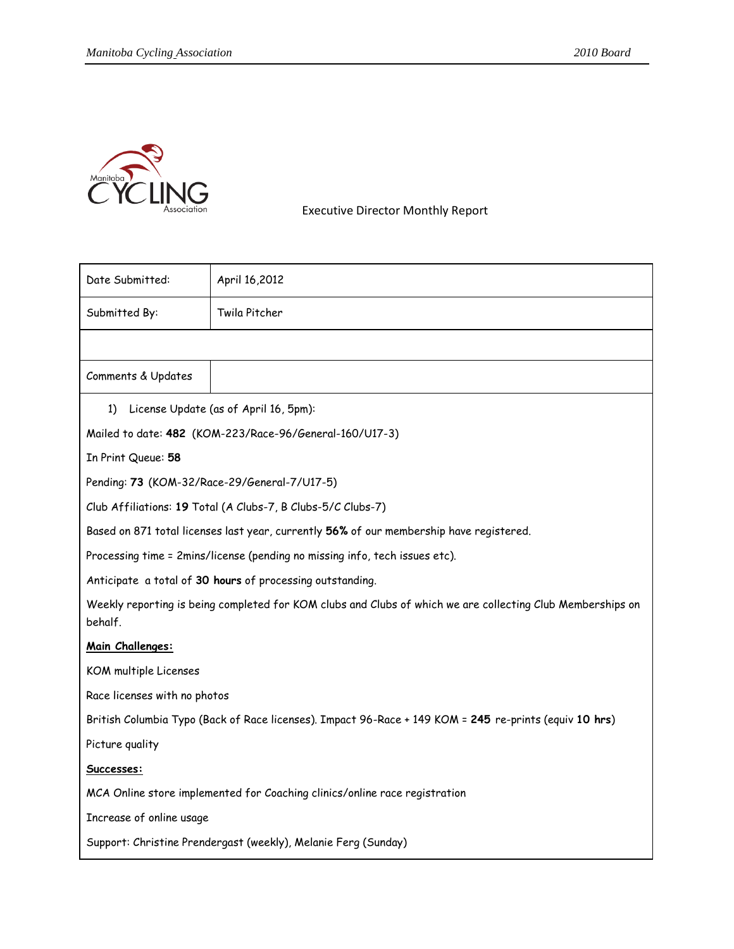

Executive Director Monthly Report

| Date Submitted:                                                                                                       | April 16,2012 |
|-----------------------------------------------------------------------------------------------------------------------|---------------|
| Submitted By:                                                                                                         | Twila Pitcher |
|                                                                                                                       |               |
| Comments & Updates                                                                                                    |               |
| License Update (as of April 16, 5pm):<br>1)                                                                           |               |
| Mailed to date: 482 (KOM-223/Race-96/General-160/U17-3)                                                               |               |
| In Print Queue: 58                                                                                                    |               |
| Pending: 73 (KOM-32/Race-29/General-7/U17-5)                                                                          |               |
| Club Affiliations: 19 Total (A Clubs-7, B Clubs-5/C Clubs-7)                                                          |               |
| Based on 871 total licenses last year, currently 56% of our membership have registered.                               |               |
| Processing time = 2mins/license (pending no missing info, tech issues etc).                                           |               |
| Anticipate a total of 30 hours of processing outstanding.                                                             |               |
| Weekly reporting is being completed for KOM clubs and Clubs of which we are collecting Club Memberships on<br>behalf. |               |
| Main Challenges:                                                                                                      |               |
| KOM multiple Licenses                                                                                                 |               |
| Race licenses with no photos                                                                                          |               |
| British Columbia Typo (Back of Race licenses). Impact 96-Race + 149 KOM = 245 re-prints (equiv 10 hrs)                |               |
| Picture quality                                                                                                       |               |
| Successes:                                                                                                            |               |
| MCA Online store implemented for Coaching clinics/online race registration                                            |               |
| Increase of online usage                                                                                              |               |
| Support: Christine Prendergast (weekly), Melanie Ferg (Sunday)                                                        |               |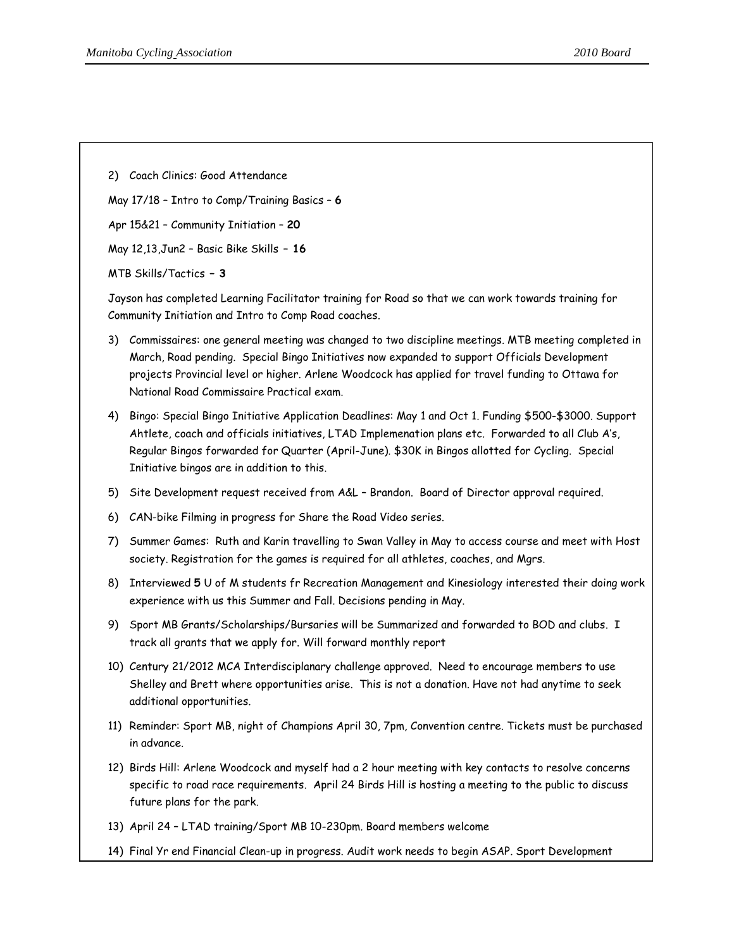2) Coach Clinics: Good Attendance

May 17/18 – Intro to Comp/Training Basics – **6**

Apr 15&21 – Community Initiation – **20**

May 12,13,Jun2 – Basic Bike Skills **– 16**

MTB Skills/Tactics **– 3**

Jayson has completed Learning Facilitator training for Road so that we can work towards training for Community Initiation and Intro to Comp Road coaches.

- 3) Commissaires: one general meeting was changed to two discipline meetings. MTB meeting completed in March, Road pending. Special Bingo Initiatives now expanded to support Officials Development projects Provincial level or higher. Arlene Woodcock has applied for travel funding to Ottawa for National Road Commissaire Practical exam.
- 4) Bingo: Special Bingo Initiative Application Deadlines: May 1 and Oct 1. Funding \$500-\$3000. Support Ahtlete, coach and officials initiatives, LTAD Implemenation plans etc. Forwarded to all Club A's, Regular Bingos forwarded for Quarter (April-June). \$30K in Bingos allotted for Cycling. Special Initiative bingos are in addition to this.
- 5) Site Development request received from A&L Brandon. Board of Director approval required.
- 6) CAN-bike Filming in progress for Share the Road Video series.
- 7) Summer Games: Ruth and Karin travelling to Swan Valley in May to access course and meet with Host society. Registration for the games is required for all athletes, coaches, and Mgrs.
- 8) Interviewed **5** U of M students fr Recreation Management and Kinesiology interested their doing work experience with us this Summer and Fall. Decisions pending in May.
- 9) Sport MB Grants/Scholarships/Bursaries will be Summarized and forwarded to BOD and clubs. I track all grants that we apply for. Will forward monthly report
- 10) Century 21/2012 MCA Interdisciplanary challenge approved. Need to encourage members to use Shelley and Brett where opportunities arise. This is not a donation. Have not had anytime to seek additional opportunities.
- 11) Reminder: Sport MB, night of Champions April 30, 7pm, Convention centre. Tickets must be purchased in advance.
- 12) Birds Hill: Arlene Woodcock and myself had a 2 hour meeting with key contacts to resolve concerns specific to road race requirements. April 24 Birds Hill is hosting a meeting to the public to discuss future plans for the park.
- 13) April 24 LTAD training/Sport MB 10-230pm. Board members welcome
- 14) Final Yr end Financial Clean-up in progress. Audit work needs to begin ASAP. Sport Development